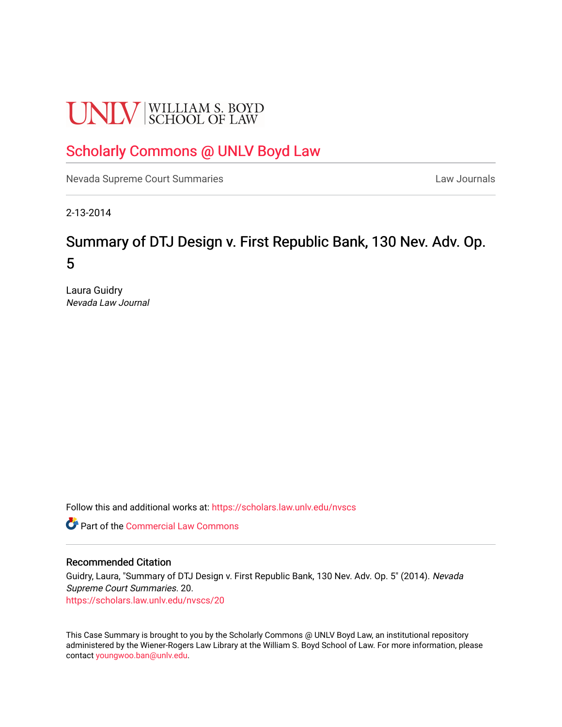# **UNLV** SCHOOL OF LAW

## [Scholarly Commons @ UNLV Boyd Law](https://scholars.law.unlv.edu/)

[Nevada Supreme Court Summaries](https://scholars.law.unlv.edu/nvscs) **Law Journals** Law Journals

2-13-2014

## Summary of DTJ Design v. First Republic Bank, 130 Nev. Adv. Op. 5

Laura Guidry Nevada Law Journal

Follow this and additional works at: [https://scholars.law.unlv.edu/nvscs](https://scholars.law.unlv.edu/nvscs?utm_source=scholars.law.unlv.edu%2Fnvscs%2F20&utm_medium=PDF&utm_campaign=PDFCoverPages)

Part of the [Commercial Law Commons](http://network.bepress.com/hgg/discipline/586?utm_source=scholars.law.unlv.edu%2Fnvscs%2F20&utm_medium=PDF&utm_campaign=PDFCoverPages)

#### Recommended Citation

Guidry, Laura, "Summary of DTJ Design v. First Republic Bank, 130 Nev. Adv. Op. 5" (2014). Nevada Supreme Court Summaries. 20. [https://scholars.law.unlv.edu/nvscs/20](https://scholars.law.unlv.edu/nvscs/20?utm_source=scholars.law.unlv.edu%2Fnvscs%2F20&utm_medium=PDF&utm_campaign=PDFCoverPages) 

This Case Summary is brought to you by the Scholarly Commons @ UNLV Boyd Law, an institutional repository administered by the Wiener-Rogers Law Library at the William S. Boyd School of Law. For more information, please contact [youngwoo.ban@unlv.edu](mailto:youngwoo.ban@unlv.edu).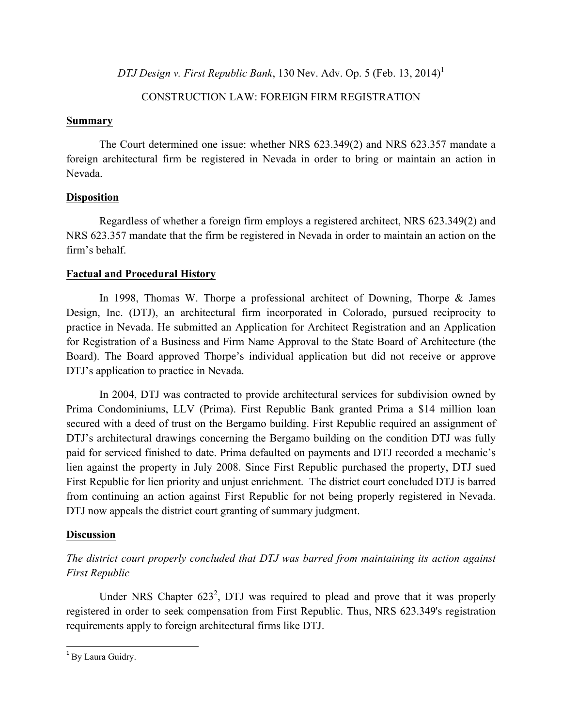*DTJ Design v. First Republic Bank*, 130 Nev. Adv. Op. 5 (Feb. 13, 2014)<sup>1</sup>

#### CONSTRUCTION LAW: FOREIGN FIRM REGISTRATION

#### **Summary**

The Court determined one issue: whether NRS 623.349(2) and NRS 623.357 mandate a foreign architectural firm be registered in Nevada in order to bring or maintain an action in Nevada.

#### **Disposition**

Regardless of whether a foreign firm employs a registered architect, NRS 623.349(2) and NRS 623.357 mandate that the firm be registered in Nevada in order to maintain an action on the firm's behalf.

#### **Factual and Procedural History**

In 1998, Thomas W. Thorpe a professional architect of Downing, Thorpe & James Design, Inc. (DTJ), an architectural firm incorporated in Colorado, pursued reciprocity to practice in Nevada. He submitted an Application for Architect Registration and an Application for Registration of a Business and Firm Name Approval to the State Board of Architecture (the Board). The Board approved Thorpe's individual application but did not receive or approve DTJ's application to practice in Nevada.

In 2004, DTJ was contracted to provide architectural services for subdivision owned by Prima Condominiums, LLV (Prima). First Republic Bank granted Prima a \$14 million loan secured with a deed of trust on the Bergamo building. First Republic required an assignment of DTJ's architectural drawings concerning the Bergamo building on the condition DTJ was fully paid for serviced finished to date. Prima defaulted on payments and DTJ recorded a mechanic's lien against the property in July 2008. Since First Republic purchased the property, DTJ sued First Republic for lien priority and unjust enrichment. The district court concluded DTJ is barred from continuing an action against First Republic for not being properly registered in Nevada. DTJ now appeals the district court granting of summary judgment.

#### **Discussion**

### *The district court properly concluded that DTJ was barred from maintaining its action against First Republic*

Under NRS Chapter  $623^2$ , DTJ was required to plead and prove that it was properly registered in order to seek compensation from First Republic. Thus, NRS 623.349's registration requirements apply to foreign architectural firms like DTJ.

 <sup>1</sup> By Laura Guidry.